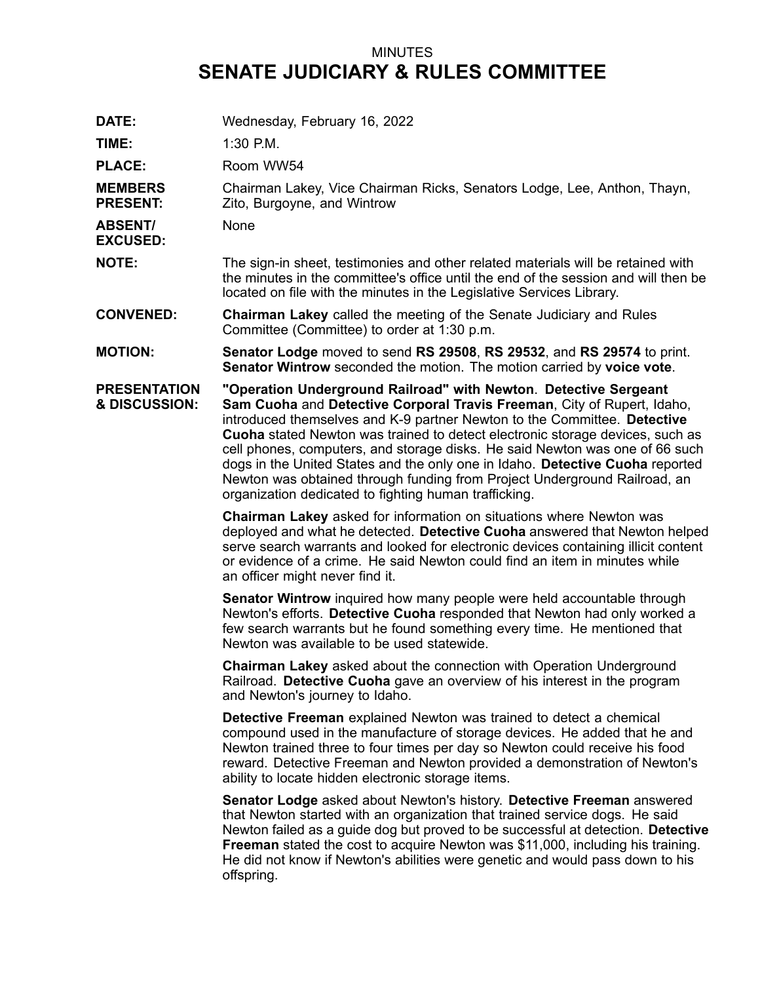## MINUTES **SENATE JUDICIARY & RULES COMMITTEE**

| DATE:                                | Wednesday, February 16, 2022                                                                                                                                                                                                                                                                                                                                                                                                                                                                                                                                                                                    |
|--------------------------------------|-----------------------------------------------------------------------------------------------------------------------------------------------------------------------------------------------------------------------------------------------------------------------------------------------------------------------------------------------------------------------------------------------------------------------------------------------------------------------------------------------------------------------------------------------------------------------------------------------------------------|
| TIME:                                | $1:30$ P.M.                                                                                                                                                                                                                                                                                                                                                                                                                                                                                                                                                                                                     |
| <b>PLACE:</b>                        | Room WW54                                                                                                                                                                                                                                                                                                                                                                                                                                                                                                                                                                                                       |
| <b>MEMBERS</b><br><b>PRESENT:</b>    | Chairman Lakey, Vice Chairman Ricks, Senators Lodge, Lee, Anthon, Thayn,<br>Zito, Burgoyne, and Wintrow                                                                                                                                                                                                                                                                                                                                                                                                                                                                                                         |
| <b>ABSENT/</b><br><b>EXCUSED:</b>    | None                                                                                                                                                                                                                                                                                                                                                                                                                                                                                                                                                                                                            |
| <b>NOTE:</b>                         | The sign-in sheet, testimonies and other related materials will be retained with<br>the minutes in the committee's office until the end of the session and will then be<br>located on file with the minutes in the Legislative Services Library.                                                                                                                                                                                                                                                                                                                                                                |
| <b>CONVENED:</b>                     | <b>Chairman Lakey</b> called the meeting of the Senate Judiciary and Rules<br>Committee (Committee) to order at 1:30 p.m.                                                                                                                                                                                                                                                                                                                                                                                                                                                                                       |
| <b>MOTION:</b>                       | Senator Lodge moved to send RS 29508, RS 29532, and RS 29574 to print.<br>Senator Wintrow seconded the motion. The motion carried by voice vote.                                                                                                                                                                                                                                                                                                                                                                                                                                                                |
| <b>PRESENTATION</b><br>& DISCUSSION: | "Operation Underground Railroad" with Newton. Detective Sergeant<br>Sam Cuoha and Detective Corporal Travis Freeman, City of Rupert, Idaho,<br>introduced themselves and K-9 partner Newton to the Committee. Detective<br>Cuoha stated Newton was trained to detect electronic storage devices, such as<br>cell phones, computers, and storage disks. He said Newton was one of 66 such<br>dogs in the United States and the only one in Idaho. Detective Cuoha reported<br>Newton was obtained through funding from Project Underground Railroad, an<br>organization dedicated to fighting human trafficking. |
|                                      | Chairman Lakey asked for information on situations where Newton was<br>deployed and what he detected. Detective Cuoha answered that Newton helped<br>serve search warrants and looked for electronic devices containing illicit content<br>or evidence of a crime. He said Newton could find an item in minutes while<br>an officer might never find it.                                                                                                                                                                                                                                                        |
|                                      | <b>Senator Wintrow</b> inquired how many people were held accountable through<br>Newton's efforts. Detective Cuoha responded that Newton had only worked a<br>few search warrants but he found something every time. He mentioned that<br>Newton was available to be used statewide.                                                                                                                                                                                                                                                                                                                            |
|                                      | Chairman Lakey asked about the connection with Operation Underground<br>Railroad. Detective Cuoha gave an overview of his interest in the program<br>and Newton's journey to Idaho.                                                                                                                                                                                                                                                                                                                                                                                                                             |
|                                      | Detective Freeman explained Newton was trained to detect a chemical<br>compound used in the manufacture of storage devices. He added that he and<br>Newton trained three to four times per day so Newton could receive his food<br>reward. Detective Freeman and Newton provided a demonstration of Newton's<br>ability to locate hidden electronic storage items.                                                                                                                                                                                                                                              |
|                                      | Senator Lodge asked about Newton's history. Detective Freeman answered<br>that Newton started with an organization that trained service dogs. He said<br>Newton failed as a guide dog but proved to be successful at detection. Detective<br><b>Freeman</b> stated the cost to acquire Newton was \$11,000, including his training.<br>He did not know if Newton's abilities were genetic and would pass down to his<br>offspring.                                                                                                                                                                              |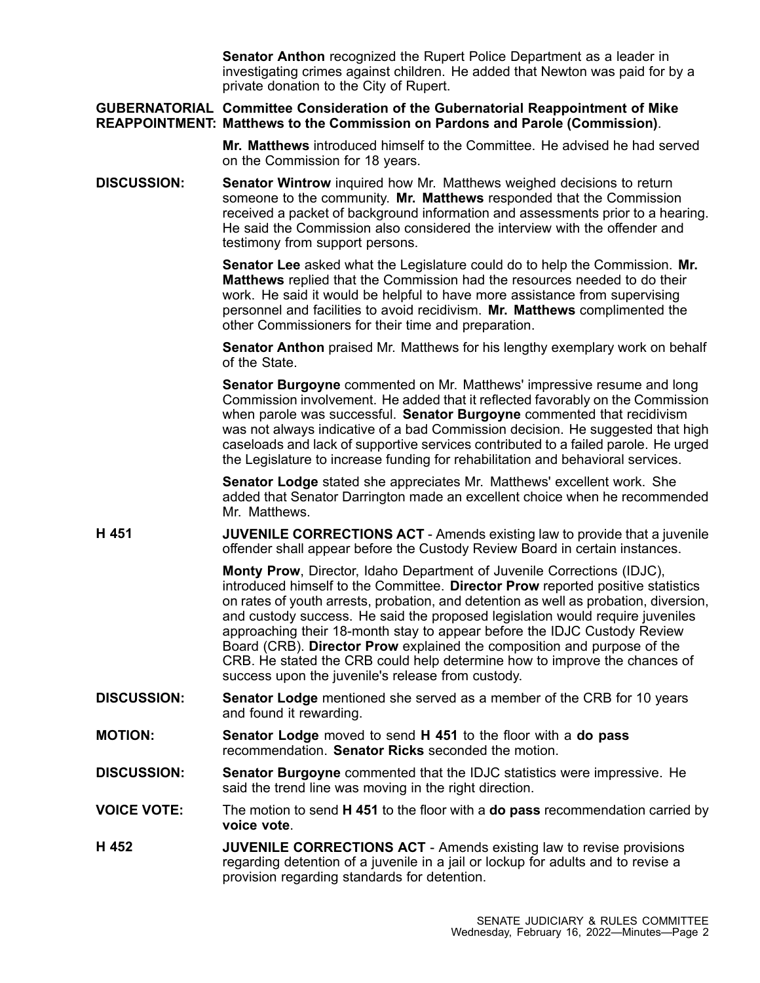**Senator Anthon** recognized the Rupert Police Department as <sup>a</sup> leader in investigating crimes against children. He added that Newton was paid for by <sup>a</sup> private donation to the City of Rupert.

**GUBERNATORIAL Committee Consideration of the Gubernatorial Reappointment of Mike REAPPOINTMENT: Matthews to the Commission on Pardons and Parole (Commission)**.

> **Mr. Matthews** introduced himself to the Committee. He advised he had served on the Commission for 18 years.

**DISCUSSION: Senator Wintrow** inquired how Mr. Matthews weighed decisions to return someone to the community. **Mr. Matthews** responded that the Commission received <sup>a</sup> packet of background information and assessments prior to <sup>a</sup> hearing. He said the Commission also considered the interview with the offender and testimony from support persons.

> **Senator Lee** asked what the Legislature could do to help the Commission. **Mr. Matthews** replied that the Commission had the resources needed to do their work. He said it would be helpful to have more assistance from supervising personnel and facilities to avoid recidivism. **Mr. Matthews** complimented the other Commissioners for their time and preparation.

**Senator Anthon** praised Mr. Matthews for his lengthy exemplary work on behalf of the State.

**Senator Burgoyne** commented on Mr. Matthews' impressive resume and long Commission involvement. He added that it reflected favorably on the Commission when parole was successful. **Senator Burgoyne** commented that recidivism was not always indicative of <sup>a</sup> bad Commission decision. He suggested that high caseloads and lack of supportive services contributed to <sup>a</sup> failed parole. He urged the Legislature to increase funding for rehabilitation and behavioral services.

**Senator Lodge** stated she appreciates Mr. Matthews' excellent work. She added that Senator Darrington made an excellent choice when he recommended Mr. Matthews.

**H 451 JUVENILE CORRECTIONS ACT** - Amends existing law to provide that <sup>a</sup> juvenile offender shall appear before the Custody Review Board in certain instances.

> **Monty Prow**, Director, Idaho Department of Juvenile Corrections (IDJC), introduced himself to the Committee. **Director Prow** reported positive statistics on rates of youth arrests, probation, and detention as well as probation, diversion, and custody success. He said the proposed legislation would require juveniles approaching their 18-month stay to appear before the IDJC Custody Review Board (CRB). **Director Prow** explained the composition and purpose of the CRB. He stated the CRB could help determine how to improve the chances of success upon the juvenile's release from custody.

- **DISCUSSION: Senator Lodge** mentioned she served as <sup>a</sup> member of the CRB for 10 years and found it rewarding.
- **MOTION: Senator Lodge** moved to send **H 451** to the floor with <sup>a</sup> **do pass** recommendation. **Senator Ricks** seconded the motion.
- **DISCUSSION: Senator Burgoyne** commented that the IDJC statistics were impressive. He said the trend line was moving in the right direction.

**VOICE VOTE:** The motion to send **H 451** to the floor with <sup>a</sup> **do pass** recommendation carried by **voice vote**.

**H 452 JUVENILE CORRECTIONS ACT** - Amends existing law to revise provisions regarding detention of <sup>a</sup> juvenile in <sup>a</sup> jail or lockup for adults and to revise <sup>a</sup> provision regarding standards for detention.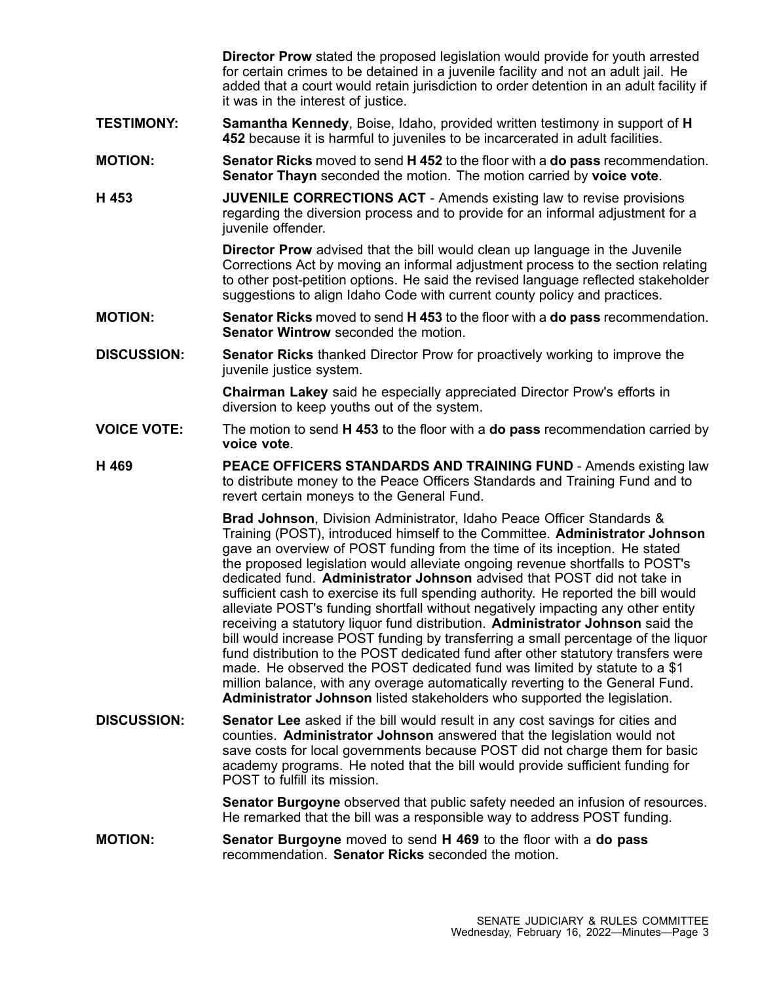**Director Prow** stated the proposed legislation would provide for youth arrested for certain crimes to be detained in <sup>a</sup> juvenile facility and not an adult jail. He added that <sup>a</sup> court would retain jurisdiction to order detention in an adult facility if it was in the interest of justice.

- **TESTIMONY: Samantha Kennedy**, Boise, Idaho, provided written testimony in support of **H 452** because it is harmful to juveniles to be incarcerated in adult facilities.
- **MOTION: Senator Ricks** moved to send **H 452** to the floor with <sup>a</sup> **do pass** recommendation. **Senator Thayn** seconded the motion. The motion carried by **voice vote**.
- **H 453 JUVENILE CORRECTIONS ACT** Amends existing law to revise provisions regarding the diversion process and to provide for an informal adjustment for <sup>a</sup> juvenile offender.

**Director Prow** advised that the bill would clean up language in the Juvenile Corrections Act by moving an informal adjustment process to the section relating to other post-petition options. He said the revised language reflected stakeholder suggestions to align Idaho Code with current county policy and practices.

- **MOTION: Senator Ricks** moved to send **H 453** to the floor with <sup>a</sup> **do pass** recommendation. **Senator Wintrow** seconded the motion.
- **DISCUSSION: Senator Ricks** thanked Director Prow for proactively working to improve the juvenile justice system.

**Chairman Lakey** said he especially appreciated Director Prow's efforts in diversion to keep youths out of the system.

- **VOICE VOTE:** The motion to send **H 453** to the floor with <sup>a</sup> **do pass** recommendation carried by **voice vote**.
- **H 469 PEACE OFFICERS STANDARDS AND TRAINING FUND** Amends existing law to distribute money to the Peace Officers Standards and Training Fund and to revert certain moneys to the General Fund.

**Brad Johnson**, Division Administrator, Idaho Peace Officer Standards & Training (POST), introduced himself to the Committee. **Administrator Johnson** gave an overview of POST funding from the time of its inception. He stated the proposed legislation would alleviate ongoing revenue shortfalls to POST's dedicated fund. **Administrator Johnson** advised that POST did not take in sufficient cash to exercise its full spending authority. He reported the bill would alleviate POST's funding shortfall without negatively impacting any other entity receiving <sup>a</sup> statutory liquor fund distribution. **Administrator Johnson** said the bill would increase POST funding by transferring <sup>a</sup> small percentage of the liquor fund distribution to the POST dedicated fund after other statutory transfers were made. He observed the POST dedicated fund was limited by statute to <sup>a</sup> \$1 million balance, with any overage automatically reverting to the General Fund. **Administrator Johnson** listed stakeholders who supported the legislation.

**DISCUSSION: Senator Lee** asked if the bill would result in any cost savings for cities and counties. **Administrator Johnson** answered that the legislation would not save costs for local governments because POST did not charge them for basic academy programs. He noted that the bill would provide sufficient funding for POST to fulfill its mission.

> **Senator Burgoyne** observed that public safety needed an infusion of resources. He remarked that the bill was <sup>a</sup> responsible way to address POST funding.

**MOTION: Senator Burgoyne** moved to send **H 469** to the floor with <sup>a</sup> **do pass** recommendation. **Senator Ricks** seconded the motion.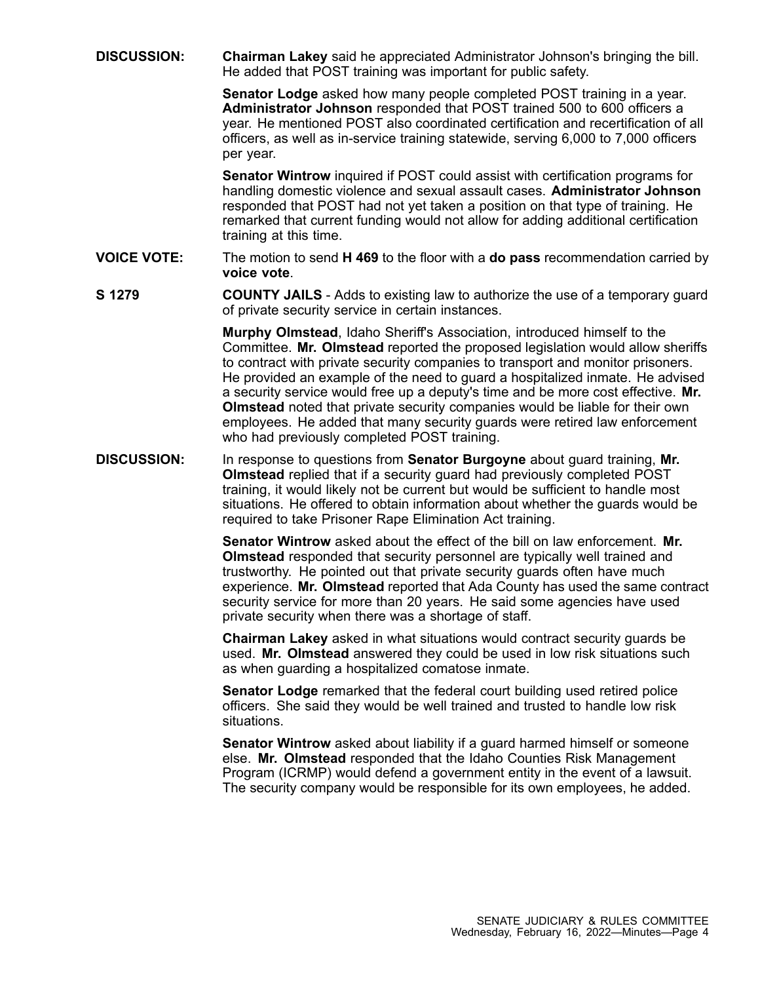**DISCUSSION: Chairman Lakey** said he appreciated Administrator Johnson's bringing the bill. He added that POST training was important for public safety.

> **Senator Lodge** asked how many people completed POST training in <sup>a</sup> year. **Administrator Johnson** responded that POST trained 500 to 600 officers <sup>a</sup> year. He mentioned POST also coordinated certification and recertification of all officers, as well as in-service training statewide, serving 6,000 to 7,000 officers per year.

> **Senator Wintrow** inquired if POST could assist with certification programs for handling domestic violence and sexual assault cases. **Administrator Johnson** responded that POST had not yet taken <sup>a</sup> position on that type of training. He remarked that current funding would not allow for adding additional certification training at this time.

- **VOICE VOTE:** The motion to send **H 469** to the floor with <sup>a</sup> **do pass** recommendation carried by **voice vote**.
- **S 1279 COUNTY JAILS** Adds to existing law to authorize the use of <sup>a</sup> temporary guard of private security service in certain instances.

**Murphy Olmstead**, Idaho Sheriff's Association, introduced himself to the Committee. **Mr. Olmstead** reported the proposed legislation would allow sheriffs to contract with private security companies to transport and monitor prisoners. He provided an example of the need to guard <sup>a</sup> hospitalized inmate. He advised <sup>a</sup> security service would free up <sup>a</sup> deputy's time and be more cost effective. **Mr. Olmstead** noted that private security companies would be liable for their own employees. He added that many security guards were retired law enforcement who had previously completed POST training.

**DISCUSSION:** In response to questions from **Senator Burgoyne** about guard training, **Mr. Olmstead** replied that if <sup>a</sup> security guard had previously completed POST training, it would likely not be current but would be sufficient to handle most situations. He offered to obtain information about whether the guards would be required to take Prisoner Rape Elimination Act training.

> **Senator Wintrow** asked about the effect of the bill on law enforcement. **Mr. Olmstead** responded that security personnel are typically well trained and trustworthy. He pointed out that private security guards often have much experience. **Mr. Olmstead** reported that Ada County has used the same contract security service for more than 20 years. He said some agencies have used private security when there was <sup>a</sup> shortage of staff.

**Chairman Lakey** asked in what situations would contract security guards be used. **Mr. Olmstead** answered they could be used in low risk situations such as when guarding <sup>a</sup> hospitalized comatose inmate.

**Senator Lodge** remarked that the federal court building used retired police officers. She said they would be well trained and trusted to handle low risk situations.

**Senator Wintrow** asked about liability if <sup>a</sup> guard harmed himself or someone else. **Mr. Olmstead** responded that the Idaho Counties Risk Management Program (ICRMP) would defend <sup>a</sup> government entity in the event of <sup>a</sup> lawsuit. The security company would be responsible for its own employees, he added.